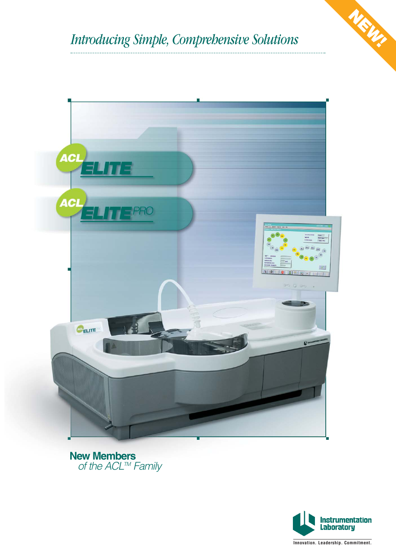



**New Members** of the ACL™ Family



**NEW!**

**Innovation. Leadership. Commitment.**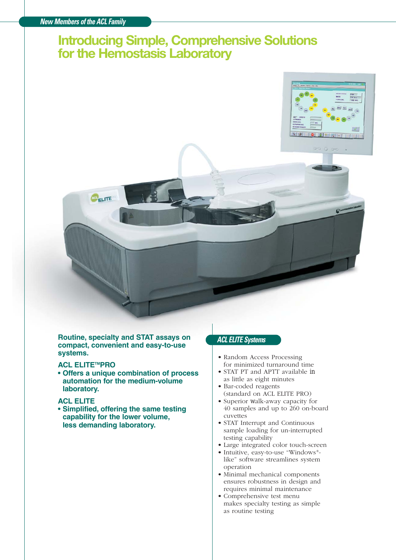# **Introducing Simple, Comprehensive Solutions for the Hemostasis Laboratory**



**Routine, specialty and STAT assays on compact, convenient and easy-to-use systems.**

#### **ACL ELITETMPRO**

**• Offers a unique combination of process automation for the medium-volume laboratory.**

# **ACL ELITE**

**• Simplified, offering the same testing capability for the lower volume, less demanding laboratory.**

# **ACL ELITE Systems**

- Random Access Processing for minimized turnaround time
- STAT PT and APTT available in as little as eight minutes
- Bar-coded reagents (standard on ACL ELITE PRO)
- Superior walk-away capacity for 40 samples and up to 260 on-board cuvettes
- STAT Interrupt and Continuous sample loading for un-interrupted testing capability
- Large integrated color touch-screen
- Intuitive, easy-to-use "Windows® like" software streamlines system operation
- Minimal mechanical components ensures robustness in design and requires minimal maintenance
- Comprehensive test menu makes specialty testing as simple as routine testing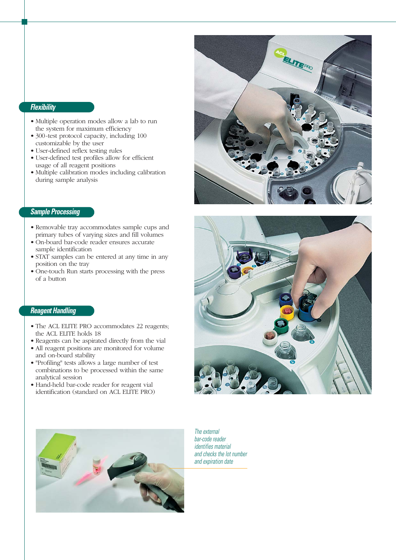# **Flexibility**

- Multiple operation modes allow a lab to run the system for maximum efficiency
- 300-test protocol capacity, including 100 customizable by the user
- User-defined reflex testing rules
- User-defined test profiles allow for efficient usage of all reagent positions
- Multiple calibration modes including calibration during sample analysis

# **Sample Processing**

- Removable tray accommodates sample cups and primary tubes of varying sizes and fill volumes
- On-board bar-code reader ensures accurate sample identification
- STAT samples can be entered at any time in any position on the tray
- One-touch Run starts processing with the press of a button

# **Reagent Handling**

- The ACL ELITE PRO accommodates 22 reagents; the ACL ELITE holds 18
- Reagents can be aspirated directly from the vial
- All reagent positions are monitored for volume and on-board stability
- "Profiling" tests allows a large number of test combinations to be processed within the same analytical session
- Hand-held bar-code reader for reagent vial identification (standard on ACL ELITE PRO)







The external bar-code reader identifies material and checks the lot number and expiration date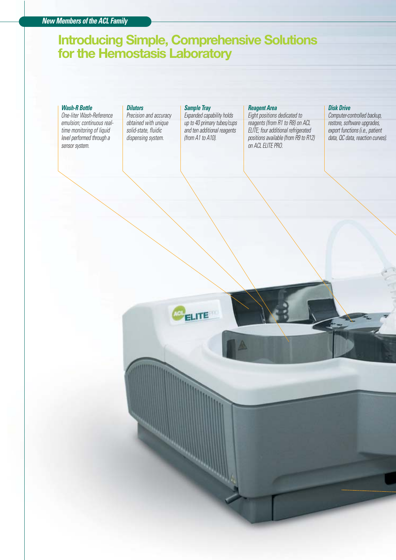# **Introducing Simple, Comprehensive Solutions for the Hemostasis Laboratory**

#### **Wash-R Bottle**

One-liter Wash-Reference emulsion; continuous realtime monitoring of liquid level performed through a sensor system.

#### **Dilutors**

Precision and accuracy obtained with unique solid-state, fluidic dispensing system.

#### **Sample Tray**

Expanded capability holds up to 40 primary tubes/cups and ten additional reagents (from A1 to A10).

#### **Reagent Area**

Eight positions dedicated to reagents (from R1 to R8) on ACL ELITE; four additional refrigerated positions available (from R9 to R12) on ACL ELITE PRO.

#### **Disk Drive**

Computer-controlled backup, restore, software upgrades, export functions (i.e., patient data, QC data, reaction curves).

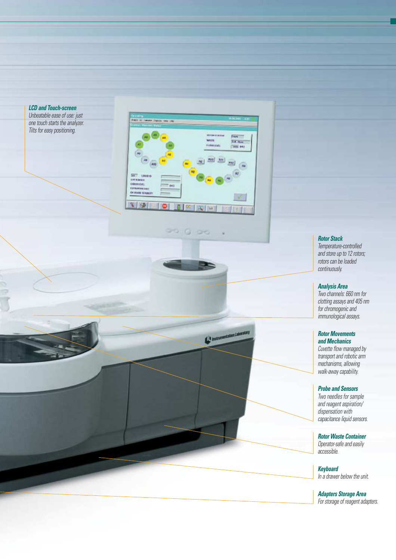#### **LCD and Touch-screen**

Unbeatable ease of use: just<br>one touch starts the analyzer. Tilts for easy positioning.



99. Q

 $O<sub>1</sub>$ 

Charles Labour

# **Rotor Stack**

Temperature-controlled and store up to 12 rotors; rotors can be loaded continuously.

### **Analysis Area**

Two channels: 660 nm for clotting assays and 405 nm for chromogenic and immunological assays.

#### **Rotor Movements and Mechanics**

Cuvette flow managed by transport and robotic arm mechanisms, allowing walk-away capability.

### **Probe and Sensors**

Two needles for sample and reagent aspiration/ dispensation with capacitance liquid sensors.

**Rotor Waste Container** Operator-safe and easily accessible.

**Keyboard** In a drawer below the unit.

**Adapters Storage Area** For storage of reagent adapters.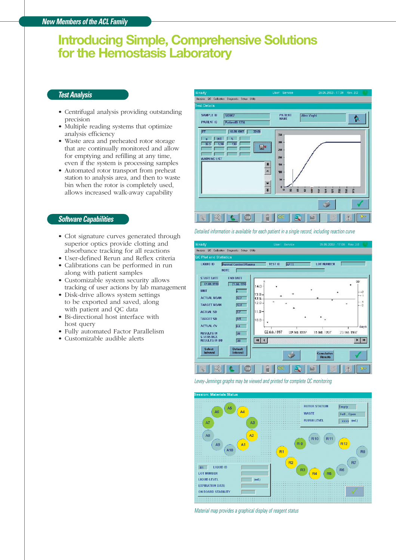# **Introducing Simple, Comprehensive Solutions for the Hemostasis Laboratory**

# **Test Analysis**

- Centrifugal analysis providing outstanding precision
- Multiple reading systems that optimize analysis efficiency
- Waste area and preheated rotor storage that are continually monitored and allow for emptying and refilling at any time, even if the system is processing samples
- Automated rotor transport from preheat station to analysis area, and then to waste bin when the rotor is completely used, allows increased walk-away capability

#### **Software Capabilities**

- Clot signature curves generated through superior optics provide clotting and absorbance tracking for all reactions
- User-defined Rerun and Reflex criteria
- Calibrations can be performed in run along with patient samples
- Customizable system security allows tracking of user actions by lab management
- Disk-drive allows system settings to be exported and saved, along with patient and QC data
- Bi-directional host interface with host query
- Fully automated Factor Parallelism
- Customizable audible alerts

Analysis QC Calibration Diagnostic Setup Utility SAMPLE ID **Sinonz PATIENT**<br>NAME Alex Vagh ¢. **PATIENT ID** Patient<sub>D</sub> 1234  $10.09.1997$  22:00  $32.5$  | 1.50 130 H<sub>a</sub> 250 iΓ 200 **WARNING LIS**  $\frac{1}{\sqrt{1-\frac{1}{2}}}$  $\cdot$  $\overline{r}$  $37.38$ P 图 **IC** Sup RI QC  $\mathbf{a}$  $M$ É.

Detailed information is available for each patient in a single record, including reaction curve



Levey-Jennings graphs may be viewed and printed for complete QC monitoring



Material map provides a graphical display of reagent status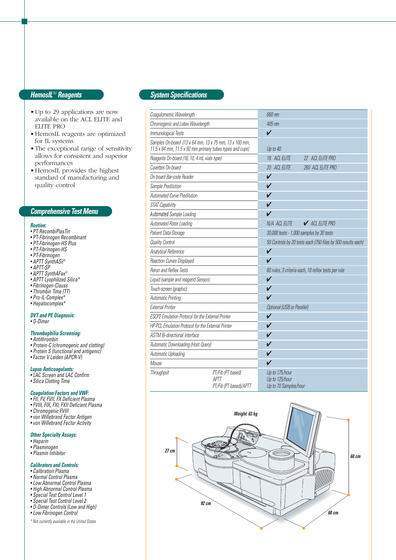# **HemosIL**TM **Reagents**

- •Up to 29 applications are now available on the ACL ELITE and ELITE PRO
- •HemosIL reagents are optimized for IL systems
- •The exceptional range of sensitivity allows for consistent and superior performances
- •HemosIL provides the highest standard of manufacturing and quality control

### **Comprehensive Test Menu**

#### **Routine:**

- PT RecombiPlasTin
- PT-Fibrinogen Recombinant
- PT-Fibrinogen-HS Plus
- PT-Fibrinogen-HS
- PT-Fibrinogen
- APTT SynthASil® • APTT-SP
- 
- APTT SynthAFax®
- APTT Lyophilized Silica\*
- Fibrinogen-Clauss • Thrombin Time (TT)
- 
- Pro-IL-Complex\* • Hepatocomplex\*

# **DVT and PE Diagnosis:**

• D-Dimer

#### **Thrombophilia Screening:**

- Antithrombin
- Protein-C (chromogenic and clotting)
- Protein S (functional and antigenic)
- Factor V Leiden (APCR-V)

#### **Lupus Anticoagulants:**

- LAC Screen and LAC Confirm
- Silica Clotting Time

#### **Coagulation Factors and VWF:**

- FII, FV, FVII, FX Deficient Plasma
- FVIII, FIX, FXI, FXII Deficient Plasma
- Chromogenic FVIII
- von Willebrand Factor Antigen
- von Willebrand Factor Activity

#### **Other Specialty Assays:**

- Heparin
- Plasminogen • Plasmin Inhibitor

#### **Calibrators and Controls:**

- Calibration Plasma
- Normal Control Plasma
- Low Abnormal Control Plasma
- High Abnormal Control Plasma
- Special Test Control Level 1
- Special Test Control Level 2
- D-Dimer Controls (Low and High)
- Low Fibrinogen Control
- \* Not currently available in the United States

# **System Specifications**

| Coagulometric Wavelength                                                                                           |                                                     | 660 nm                                                       |                   |
|--------------------------------------------------------------------------------------------------------------------|-----------------------------------------------------|--------------------------------------------------------------|-------------------|
| Chromogenic and Latex Wavelength                                                                                   |                                                     | 405 nm                                                       |                   |
| Immunological Tests                                                                                                |                                                     | $\checkmark$                                                 |                   |
| Samples On-board (13 x 64 mm, 13 x 75 mm, 13 x 100 mm,<br>11.5 x 64 mm, 11.5 x 92 mm primary tubes types and cups) |                                                     | Up to 40                                                     |                   |
| Reagents On-board (16, 10, 4 mL vials type)                                                                        |                                                     | 18 ACL ELITE                                                 | 22 ACL ELITE PRO  |
| Cuvettes On-board                                                                                                  |                                                     | 20 ACL ELITE                                                 | 260 ACL ELITE PRO |
| On-board Bar-code Reader                                                                                           |                                                     | V                                                            |                   |
| Sample Predilution                                                                                                 |                                                     | V                                                            |                   |
| <b>Automated Curve Predilution</b>                                                                                 |                                                     |                                                              |                   |
| STAT Capability                                                                                                    |                                                     | ✔                                                            |                   |
| Automated Sample Loading                                                                                           |                                                     | ✔                                                            |                   |
| Automated Rotor Loading                                                                                            |                                                     | N/A ACL ELITE                                                | ACL ELITE PRO     |
| Patient Data Storage                                                                                               |                                                     | 30,000 tests - 1,000 samples by 30 tests                     |                   |
| <b>Quality Control</b>                                                                                             |                                                     | 50 Controls by 20 tests each (750 files by 500 results each) |                   |
| Analytical Reference                                                                                               |                                                     | $\overline{\mathsf{V}}$                                      |                   |
| Reaction Curves Displayed                                                                                          |                                                     | V                                                            |                   |
| <b>Rerun and Reflex Tests</b>                                                                                      |                                                     | 60 rules, 3 criteria each, 10 reflex tests per rule          |                   |
| Liquid (sample and reagent) Sensors                                                                                |                                                     | V                                                            |                   |
| Touch-screen (graphic)                                                                                             |                                                     | $\checkmark$                                                 |                   |
| <b>Automatic Printing</b>                                                                                          |                                                     | $\boldsymbol{\nu}$                                           |                   |
| <b>External Printer</b>                                                                                            |                                                     | <b>Optional (USB or Parallel)</b>                            |                   |
| ESCP2 Emulation Protocol for the External Printer                                                                  |                                                     | $\boldsymbol{\nu}$                                           |                   |
| HP-PCL Emulation Protocol for the External Printer                                                                 |                                                     | V                                                            |                   |
| <b>ASTM Bi-directional Interface</b>                                                                               |                                                     | V                                                            |                   |
| Automatic Downloading (Host Query)                                                                                 |                                                     | ✓                                                            |                   |
| Automatic Uploading                                                                                                |                                                     | ✔                                                            |                   |
| <b>Mouse</b>                                                                                                       |                                                     | $\checkmark$                                                 |                   |
| Throughput                                                                                                         | PT/Fib (PT based)<br>APTT<br>PT/Fib (PT based)/APTT | Up to 175/hour<br>Up to 125/hour<br>Up to 70 Samples/hour    |                   |